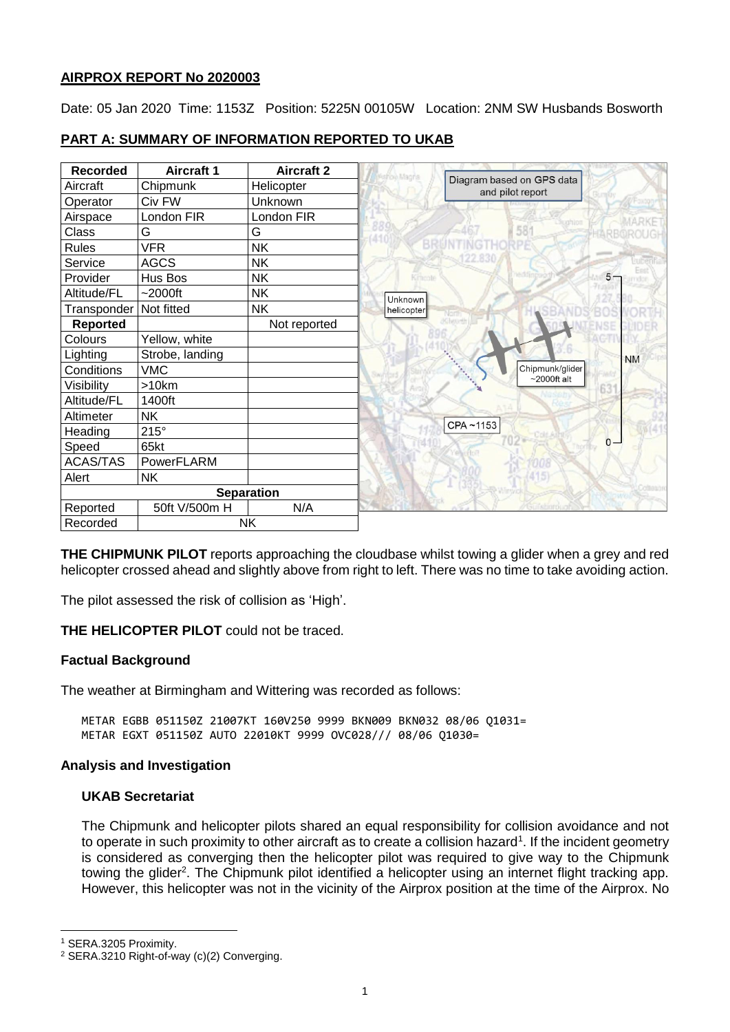## **AIRPROX REPORT No 2020003**

Date: 05 Jan 2020 Time: 1153Z Position: 5225N 00105W Location: 2NM SW Husbands Bosworth

| <b>Recorded</b> | <b>Aircraft 1</b> | <b>Aircraft 2</b> |            |                                               |
|-----------------|-------------------|-------------------|------------|-----------------------------------------------|
| Aircraft        | Chipmunk          | Helicopter        |            | Diagram based on GPS data<br>and pilot report |
| Operator        | Civ FW            | Unknown           |            |                                               |
| Airspace        | London FIR        | London FIR        |            |                                               |
| Class           | G                 | G                 |            | 58                                            |
| <b>Rules</b>    | <b>VFR</b>        | <b>NK</b>         |            |                                               |
| Service         | <b>AGCS</b>       | <b>NK</b>         |            |                                               |
| Provider        | Hus Bos           | NK.               |            |                                               |
| Altitude/FL     | $-2000$ ft        | <b>NK</b>         | Unknown    |                                               |
| Transponder     | Not fitted        | <b>NK</b>         | helicopter |                                               |
| <b>Reported</b> |                   | Not reported      |            |                                               |
| Colours         | Yellow, white     |                   |            |                                               |
| Lighting        | Strobe, landing   |                   |            |                                               |
| Conditions      | <b>VMC</b>        |                   |            | Chipmunk/glider                               |
| Visibility      | >10km             |                   |            | $\sim$ 2000ft alt                             |
| Altitude/FL     | 1400ft            |                   |            |                                               |
| Altimeter       | <b>NK</b>         |                   |            |                                               |
| Heading         | $215^\circ$       |                   |            | CPA~1153                                      |
| Speed           | 65kt              |                   |            |                                               |
| <b>ACAS/TAS</b> | PowerFLARM        |                   |            |                                               |
| Alert           | <b>NK</b>         |                   |            |                                               |
|                 | <b>Separation</b> |                   |            |                                               |
| Reported        | 50ft V/500m H     | N/A               |            |                                               |
| Recorded        |                   | <b>NK</b>         |            |                                               |

# **PART A: SUMMARY OF INFORMATION REPORTED TO UKAB**

**THE CHIPMUNK PILOT** reports approaching the cloudbase whilst towing a glider when a grey and red helicopter crossed ahead and slightly above from right to left. There was no time to take avoiding action.

The pilot assessed the risk of collision as 'High'.

**THE HELICOPTER PILOT** could not be traced.

# **Factual Background**

The weather at Birmingham and Wittering was recorded as follows:

METAR EGBB 051150Z 21007KT 160V250 9999 BKN009 BKN032 08/06 Q1031= METAR EGXT 051150Z AUTO 22010KT 9999 OVC028/// 08/06 Q1030=

# **Analysis and Investigation**

# **UKAB Secretariat**

The Chipmunk and helicopter pilots shared an equal responsibility for collision avoidance and not to operate in such proximity to other aircraft as to create a collision hazard<sup>1</sup>. If the incident geometry is considered as converging then the helicopter pilot was required to give way to the Chipmunk towing the glider<sup>2</sup>. The Chipmunk pilot identified a helicopter using an internet flight tracking app. However, this helicopter was not in the vicinity of the Airprox position at the time of the Airprox. No

 $\overline{a}$ 

<sup>1</sup> SERA.3205 Proximity.

<sup>2</sup> SERA.3210 Right-of-way (c)(2) Converging.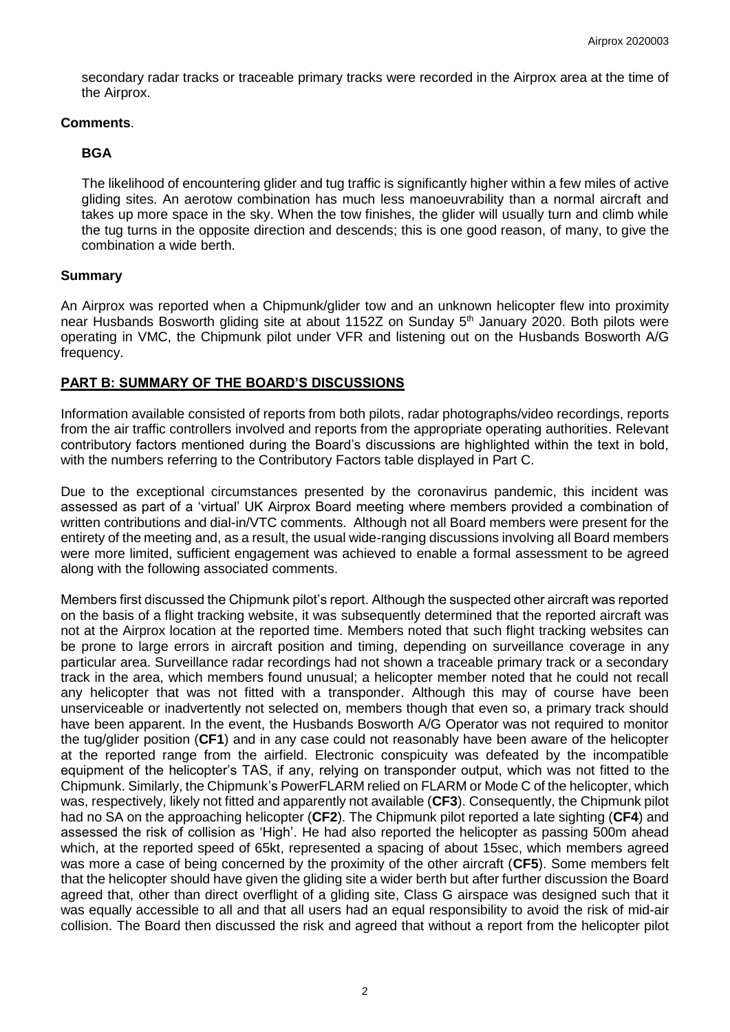secondary radar tracks or traceable primary tracks were recorded in the Airprox area at the time of the Airprox.

## **Comments**.

# **BGA**

The likelihood of encountering glider and tug traffic is significantly higher within a few miles of active gliding sites. An aerotow combination has much less manoeuvrability than a normal aircraft and takes up more space in the sky. When the tow finishes, the glider will usually turn and climb while the tug turns in the opposite direction and descends; this is one good reason, of many, to give the combination a wide berth.

# **Summary**

An Airprox was reported when a Chipmunk/glider tow and an unknown helicopter flew into proximity near Husbands Bosworth gliding site at about 1152Z on Sunday 5<sup>th</sup> January 2020. Both pilots were operating in VMC, the Chipmunk pilot under VFR and listening out on the Husbands Bosworth A/G frequency.

# **PART B: SUMMARY OF THE BOARD'S DISCUSSIONS**

Information available consisted of reports from both pilots, radar photographs/video recordings, reports from the air traffic controllers involved and reports from the appropriate operating authorities. Relevant contributory factors mentioned during the Board's discussions are highlighted within the text in bold, with the numbers referring to the Contributory Factors table displayed in Part C.

Due to the exceptional circumstances presented by the coronavirus pandemic, this incident was assessed as part of a 'virtual' UK Airprox Board meeting where members provided a combination of written contributions and dial-in/VTC comments. Although not all Board members were present for the entirety of the meeting and, as a result, the usual wide-ranging discussions involving all Board members were more limited, sufficient engagement was achieved to enable a formal assessment to be agreed along with the following associated comments.

Members first discussed the Chipmunk pilot's report. Although the suspected other aircraft was reported on the basis of a flight tracking website, it was subsequently determined that the reported aircraft was not at the Airprox location at the reported time. Members noted that such flight tracking websites can be prone to large errors in aircraft position and timing, depending on surveillance coverage in any particular area. Surveillance radar recordings had not shown a traceable primary track or a secondary track in the area, which members found unusual; a helicopter member noted that he could not recall any helicopter that was not fitted with a transponder. Although this may of course have been unserviceable or inadvertently not selected on, members though that even so, a primary track should have been apparent. In the event, the Husbands Bosworth A/G Operator was not required to monitor the tug/glider position (**CF1**) and in any case could not reasonably have been aware of the helicopter at the reported range from the airfield. Electronic conspicuity was defeated by the incompatible equipment of the helicopter's TAS, if any, relying on transponder output, which was not fitted to the Chipmunk. Similarly, the Chipmunk's PowerFLARM relied on FLARM or Mode C of the helicopter, which was, respectively, likely not fitted and apparently not available (**CF3**). Consequently, the Chipmunk pilot had no SA on the approaching helicopter (**CF2**). The Chipmunk pilot reported a late sighting (**CF4**) and assessed the risk of collision as 'High'. He had also reported the helicopter as passing 500m ahead which, at the reported speed of 65kt, represented a spacing of about 15sec, which members agreed was more a case of being concerned by the proximity of the other aircraft (**CF5**). Some members felt that the helicopter should have given the gliding site a wider berth but after further discussion the Board agreed that, other than direct overflight of a gliding site, Class G airspace was designed such that it was equally accessible to all and that all users had an equal responsibility to avoid the risk of mid-air collision. The Board then discussed the risk and agreed that without a report from the helicopter pilot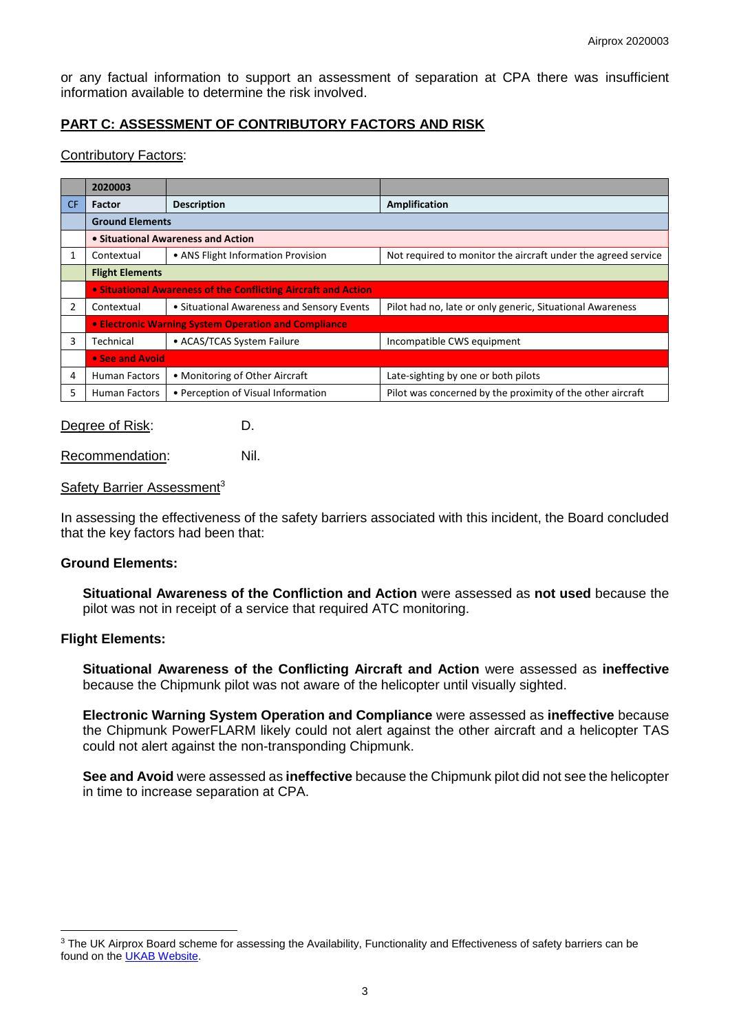or any factual information to support an assessment of separation at CPA there was insufficient information available to determine the risk involved.

# **PART C: ASSESSMENT OF CONTRIBUTORY FACTORS AND RISK**

#### Contributory Factors:

|     | 2020003                                              |                                                                |                                                               |  |  |  |
|-----|------------------------------------------------------|----------------------------------------------------------------|---------------------------------------------------------------|--|--|--|
| CF. | <b>Factor</b>                                        | <b>Description</b>                                             | <b>Amplification</b>                                          |  |  |  |
|     | <b>Ground Elements</b>                               |                                                                |                                                               |  |  |  |
|     | • Situational Awareness and Action                   |                                                                |                                                               |  |  |  |
|     | Contextual                                           | • ANS Flight Information Provision                             | Not required to monitor the aircraft under the agreed service |  |  |  |
|     | <b>Flight Elements</b>                               |                                                                |                                                               |  |  |  |
|     |                                                      | . Situational Awareness of the Conflicting Aircraft and Action |                                                               |  |  |  |
|     | Contextual                                           | • Situational Awareness and Sensory Events                     | Pilot had no, late or only generic, Situational Awareness     |  |  |  |
|     | • Electronic Warning System Operation and Compliance |                                                                |                                                               |  |  |  |
| 3   | Technical                                            | • ACAS/TCAS System Failure                                     | Incompatible CWS equipment                                    |  |  |  |
|     | • See and Avoid                                      |                                                                |                                                               |  |  |  |
| 4   | <b>Human Factors</b>                                 | • Monitoring of Other Aircraft                                 | Late-sighting by one or both pilots                           |  |  |  |
| 5   | <b>Human Factors</b>                                 | • Perception of Visual Information                             | Pilot was concerned by the proximity of the other aircraft    |  |  |  |

Degree of Risk: D.

Recommendation: Nil.

#### Safety Barrier Assessment<sup>3</sup>

In assessing the effectiveness of the safety barriers associated with this incident, the Board concluded that the key factors had been that:

## **Ground Elements:**

**Situational Awareness of the Confliction and Action** were assessed as **not used** because the pilot was not in receipt of a service that required ATC monitoring.

#### **Flight Elements:**

 $\overline{a}$ 

**Situational Awareness of the Conflicting Aircraft and Action** were assessed as **ineffective** because the Chipmunk pilot was not aware of the helicopter until visually sighted.

**Electronic Warning System Operation and Compliance** were assessed as **ineffective** because the Chipmunk PowerFLARM likely could not alert against the other aircraft and a helicopter TAS could not alert against the non-transponding Chipmunk.

**See and Avoid** were assessed as **ineffective** because the Chipmunk pilot did not see the helicopter in time to increase separation at CPA.

<sup>&</sup>lt;sup>3</sup> The UK Airprox Board scheme for assessing the Availability, Functionality and Effectiveness of safety barriers can be found on the [UKAB Website.](http://www.airproxboard.org.uk/Learn-more/Airprox-Barrier-Assessment/)